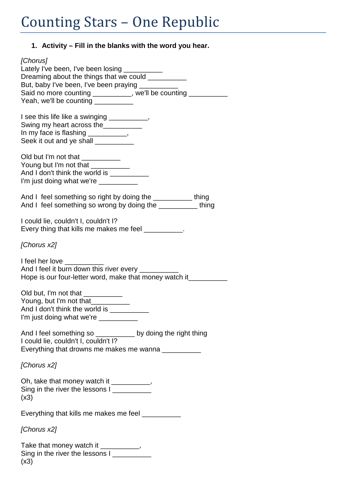| 1. Activity – Fill in the blanks with the word you hear.                                                                                                                                                                                                                       |
|--------------------------------------------------------------------------------------------------------------------------------------------------------------------------------------------------------------------------------------------------------------------------------|
| [Chorus]<br>Lately I've been, I've been losing __________<br>Dreaming about the things that we could __________<br>But, baby I've been, I've been praying ___________<br>Said no more counting __________, we'll be counting __________<br>Yeah, we'll be counting ___________ |
| I see this life like a swinging __________,<br>Swing my heart across the<br>In my face is flashing ___________,<br>Seek it out and ye shall __________                                                                                                                         |
| Old but I'm not that ___________<br>Young but I'm not that __________<br>And I don't think the world is ___________<br>I'm just doing what we're __________                                                                                                                    |
| And I feel something so right by doing the ____________thing<br>And I feel something so wrong by doing the ___________ thing                                                                                                                                                   |
| I could lie, couldn't I, couldn't I?<br>Every thing that kills me makes me feel __________.                                                                                                                                                                                    |
| [Chorus x2]                                                                                                                                                                                                                                                                    |
| I feel her love ______<br>And I feel it burn down this river every __________<br>Hope is our four-letter word, make that money watch it_________                                                                                                                               |
| Old but, I'm not that ___________<br>Young, but I'm not that<br>And I don't think the world is ___________<br>I'm just doing what we're ___________                                                                                                                            |
| And I feel something so ___________ by doing the right thing<br>I could lie, couldn't I, couldn't I?<br>Everything that drowns me makes me wanna __________                                                                                                                    |
| [Chorus x2]                                                                                                                                                                                                                                                                    |
| Oh, take that money watch it __________,<br>Sing in the river the lessons I<br>(x3)                                                                                                                                                                                            |
| Everything that kills me makes me feel ___________                                                                                                                                                                                                                             |
| [Chorus x2]                                                                                                                                                                                                                                                                    |
| Take that money watch it __________,<br>Sing in the river the lessons I                                                                                                                                                                                                        |

 $(x3)$